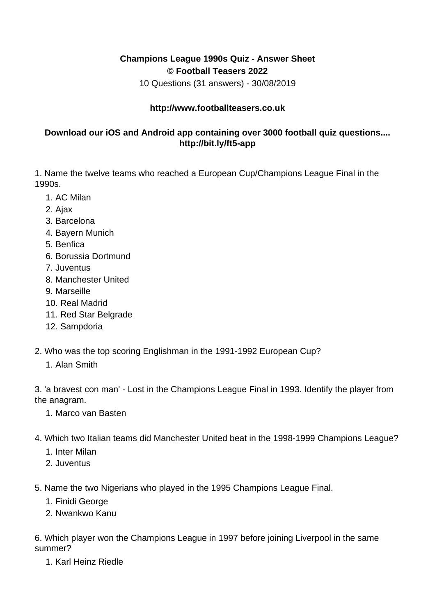## **Champions League 1990s Quiz - Answer Sheet © Football Teasers 2022**

10 Questions (31 answers) - 30/08/2019

## **http://www.footballteasers.co.uk**

## **Download our iOS and Android app containing over 3000 football quiz questions.... http://bit.ly/ft5-app**

1. Name the twelve teams who reached a European Cup/Champions League Final in the 1990s.

- 1. AC Milan
- 2. Ajax
- 3. Barcelona
- 4. Bayern Munich
- 5. Benfica
- 6. Borussia Dortmund
- 7. Juventus
- 8. Manchester United
- 9. Marseille
- 10. Real Madrid
- 11. Red Star Belgrade
- 12. Sampdoria
- 2. Who was the top scoring Englishman in the 1991-1992 European Cup?
	- 1. Alan Smith

3. 'a bravest con man' - Lost in the Champions League Final in 1993. Identify the player from the anagram.

- 1. Marco van Basten
- 4. Which two Italian teams did Manchester United beat in the 1998-1999 Champions League?
	- 1. Inter Milan
	- 2. Juventus
- 5. Name the two Nigerians who played in the 1995 Champions League Final.
	- 1. Finidi George
	- 2. Nwankwo Kanu

6. Which player won the Champions League in 1997 before joining Liverpool in the same summer?

1. Karl Heinz Riedle